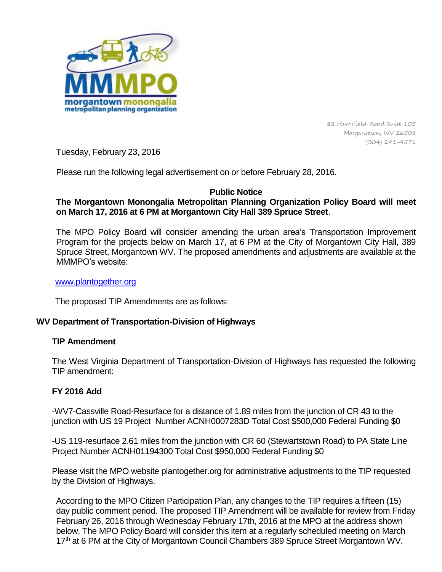

82 Hart Field Road Suite 105 Morgantown, WV 26508 (304) 291-9571

Tuesday, February 23, 2016

Please run the following legal advertisement on or before February 28, 2016.

### **Public Notice**

# **The Morgantown Monongalia Metropolitan Planning Organization Policy Board will meet on March 17, 2016 at 6 PM at Morgantown City Hall 389 Spruce Street**.

The MPO Policy Board will consider amending the urban area's Transportation Improvement Program for the projects below on March 17, at 6 PM at the City of Morgantown City Hall, 389 Spruce Street, Morgantown WV. The proposed amendments and adjustments are available at the MMMPO's website:

#### [www.plantogether.org](http://www.plantogether.org/)

The proposed TIP Amendments are as follows:

## **WV Department of Transportation-Division of Highways**

#### **TIP Amendment**

The West Virginia Department of Transportation-Division of Highways has requested the following TIP amendment:

## **FY 2016 Add**

-WV7-Cassville Road-Resurface for a distance of 1.89 miles from the junction of CR 43 to the junction with US 19 Project Number ACNH0007283D Total Cost \$500,000 Federal Funding \$0

-US 119-resurface 2.61 miles from the junction with CR 60 (Stewartstown Road) to PA State Line Project Number ACNH01194300 Total Cost \$950,000 Federal Funding \$0

Please visit the MPO website plantogether.org for administrative adjustments to the TIP requested by the Division of Highways.

According to the MPO Citizen Participation Plan, any changes to the TIP requires a fifteen (15) day public comment period. The proposed TIP Amendment will be available for review from Friday February 26, 2016 through Wednesday February 17th, 2016 at the MPO at the address shown below. The MPO Policy Board will consider this item at a regularly scheduled meeting on March 17<sup>th</sup> at 6 PM at the City of Morgantown Council Chambers 389 Spruce Street Morgantown WV.